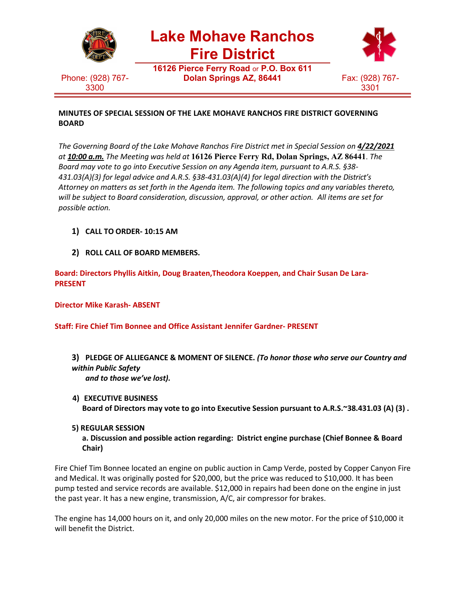

### **MINUTES OF SPECIAL SESSION OF THE LAKE MOHAVE RANCHOS FIRE DISTRICT GOVERNING BOARD**

*The Governing Board of the Lake Mohave Ranchos Fire District met in Special Session on 4/22/2021 at 10:00 a.m. The Meeting was held at* **16126 Pierce Ferry Rd, Dolan Springs, AZ 86441**. *The Board may vote to go into Executive Session on any Agenda item, pursuant to A.R.S. §38- 431.03(A)(3) for legal advice and A.R.S. §38-431.03(A)(4) for legal direction with the District's Attorney on matters as set forth in the Agenda item. The following topics and any variables thereto, will be subject to Board consideration, discussion, approval, or other action. All items are set for possible action.*

- **1) CALL TO ORDER- 10:15 AM**
- **2) ROLL CALL OF BOARD MEMBERS.**

**Board: Directors Phyllis Aitkin, Doug Braaten,Theodora Koeppen, and Chair Susan De Lara-PRESENT**

**Director Mike Karash- ABSENT**

**Staff: Fire Chief Tim Bonnee and Office Assistant Jennifer Gardner- PRESENT**

- **3) PLEDGE OF ALLIEGANCE & MOMENT OF SILENCE.** *(To honor those who serve our Country and within Public Safety and to those we've lost).*
- **4) EXECUTIVE BUSINESS Board of Directors may vote to go into Executive Session pursuant to A.R.S.~38.431.03 (A) (3) .**
- **5) REGULAR SESSION**

**a. Discussion and possible action regarding: District engine purchase (Chief Bonnee & Board Chair)**

Fire Chief Tim Bonnee located an engine on public auction in Camp Verde, posted by Copper Canyon Fire and Medical. It was originally posted for \$20,000, but the price was reduced to \$10,000. It has been pump tested and service records are available. \$12,000 in repairs had been done on the engine in just the past year. It has a new engine, transmission, A/C, air compressor for brakes.

The engine has 14,000 hours on it, and only 20,000 miles on the new motor. For the price of \$10,000 it will benefit the District.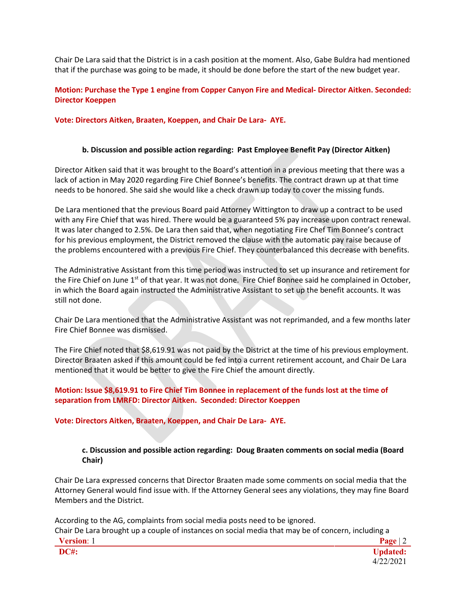Chair De Lara said that the District is in a cash position at the moment. Also, Gabe Buldra had mentioned that if the purchase was going to be made, it should be done before the start of the new budget year.

# **Motion: Purchase the Type 1 engine from Copper Canyon Fire and Medical- Director Aitken. Seconded: Director Koeppen**

**Vote: Directors Aitken, Braaten, Koeppen, and Chair De Lara- AYE.**

### **b. Discussion and possible action regarding: Past Employee Benefit Pay (Director Aitken)**

Director Aitken said that it was brought to the Board's attention in a previous meeting that there was a lack of action in May 2020 regarding Fire Chief Bonnee's benefits. The contract drawn up at that time needs to be honored. She said she would like a check drawn up today to cover the missing funds.

De Lara mentioned that the previous Board paid Attorney Wittington to draw up a contract to be used with any Fire Chief that was hired. There would be a guaranteed 5% pay increase upon contract renewal. It was later changed to 2.5%. De Lara then said that, when negotiating Fire Chef Tim Bonnee's contract for his previous employment, the District removed the clause with the automatic pay raise because of the problems encountered with a previous Fire Chief. They counterbalanced this decrease with benefits.

The Administrative Assistant from this time period was instructed to set up insurance and retirement for the Fire Chief on June 1<sup>st</sup> of that year. It was not done. Fire Chief Bonnee said he complained in October, in which the Board again instructed the Administrative Assistant to set up the benefit accounts. It was still not done.

Chair De Lara mentioned that the Administrative Assistant was not reprimanded, and a few months later Fire Chief Bonnee was dismissed.

The Fire Chief noted that \$8,619.91 was not paid by the District at the time of his previous employment. Director Braaten asked if this amount could be fed into a current retirement account, and Chair De Lara mentioned that it would be better to give the Fire Chief the amount directly.

### **Motion: Issue \$8,619.91 to Fire Chief Tim Bonnee in replacement of the funds lost at the time of separation from LMRFD: Director Aitken. Seconded: Director Koeppen**

# **Vote: Directors Aitken, Braaten, Koeppen, and Chair De Lara- AYE.**

### **c. Discussion and possible action regarding: Doug Braaten comments on social media (Board Chair)**

Chair De Lara expressed concerns that Director Braaten made some comments on social media that the Attorney General would find issue with. If the Attorney General sees any violations, they may fine Board Members and the District.

According to the AG, complaints from social media posts need to be ignored. Chair De Lara brought up a couple of instances on social media that may be of concern, including a

| w<br>'ersion:-                        |  | . .<br>$\mathbf{D}$ |
|---------------------------------------|--|---------------------|
| 71 I<br>-<br>.<br>$\bm{\pi}$<br>$\pi$ |  |                     |